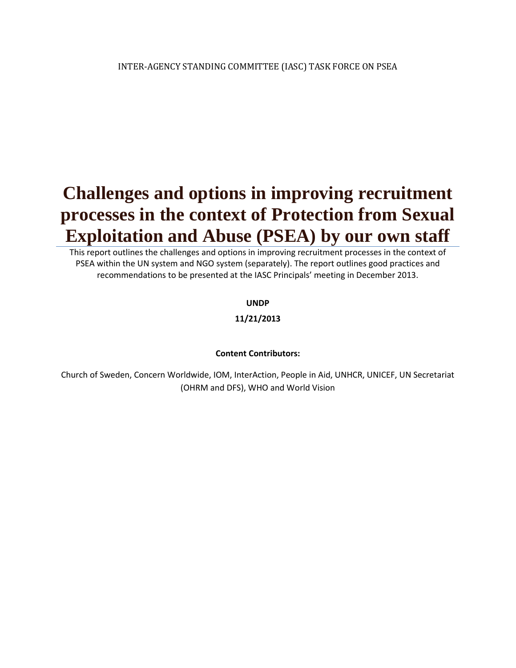# **Challenges and options in improving recruitment processes in the context of Protection from Sexual Exploitation and Abuse (PSEA) by our own staff**

This report outlines the challenges and options in improving recruitment processes in the context of PSEA within the UN system and NGO system (separately). The report outlines good practices and recommendations to be presented at the IASC Principals' meeting in December 2013.

#### **UNDP**

#### **11/21/2013**

#### **Content Contributors:**

Church of Sweden, Concern Worldwide, IOM, InterAction, People in Aid, UNHCR, UNICEF, UN Secretariat (OHRM and DFS), WHO and World Vision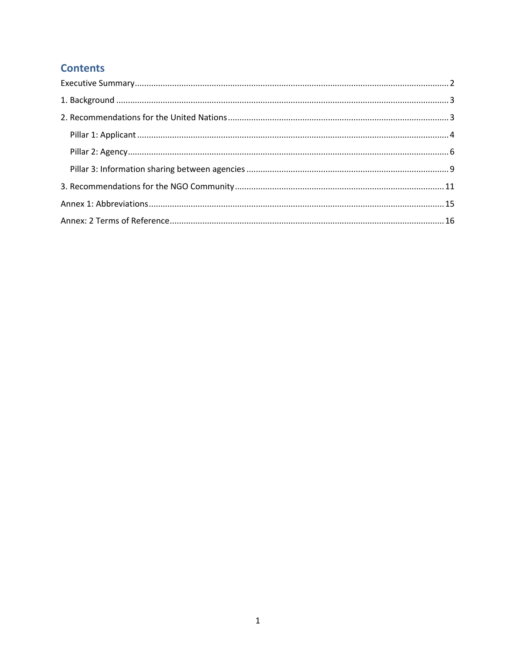## **Contents**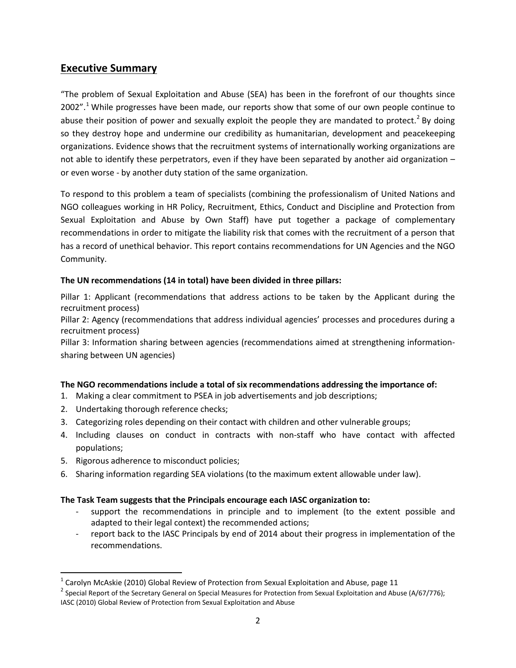## <span id="page-2-0"></span>**Executive Summary**

"The problem of Sexual Exploitation and Abuse (SEA) has been in the forefront of our thoughts since 2002".<sup>[1](#page-2-1)</sup> While progresses have been made, our reports show that some of our own people continue to abuse their position of power and sexually exploit the people they are mandated to protect.<sup>[2](#page-2-2)</sup> By doing so they destroy hope and undermine our credibility as humanitarian, development and peacekeeping organizations. Evidence shows that the recruitment systems of internationally working organizations are not able to identify these perpetrators, even if they have been separated by another aid organization – or even worse - by another duty station of the same organization.

To respond to this problem a team of specialists (combining the professionalism of United Nations and NGO colleagues working in HR Policy, Recruitment, Ethics, Conduct and Discipline and Protection from Sexual Exploitation and Abuse by Own Staff) have put together a package of complementary recommendations in order to mitigate the liability risk that comes with the recruitment of a person that has a record of unethical behavior. This report contains recommendations for UN Agencies and the NGO Community.

#### **The UN recommendations (14 in total) have been divided in three pillars:**

Pillar 1: Applicant (recommendations that address actions to be taken by the Applicant during the recruitment process)

Pillar 2: Agency (recommendations that address individual agencies' processes and procedures during a recruitment process)

Pillar 3: Information sharing between agencies (recommendations aimed at strengthening informationsharing between UN agencies)

#### **The NGO recommendations include a total of six recommendations addressing the importance of:**

- 1. Making a clear commitment to PSEA in job advertisements and job descriptions;
- 2. Undertaking thorough reference checks;
- 3. Categorizing roles depending on their contact with children and other vulnerable groups;
- 4. Including clauses on conduct in contracts with non-staff who have contact with affected populations;
- 5. Rigorous adherence to misconduct policies;
- 6. Sharing information regarding SEA violations (to the maximum extent allowable under law).

#### **The Task Team suggests that the Principals encourage each IASC organization to:**

- support the recommendations in principle and to implement (to the extent possible and adapted to their legal context) the recommended actions;
- report back to the IASC Principals by end of 2014 about their progress in implementation of the recommendations.

<span id="page-2-2"></span>

<span id="page-2-1"></span><sup>&</sup>lt;sup>1</sup> Carolyn McAskie (2010) Global Review of Protection from Sexual Exploitation and Abuse, page 11 <sup>2</sup> Special Report of the Secretary General on Special Measures for Protection from Sexual Exploitation and Abuse (A/67/77 IASC (2010) Global Review of Protection from Sexual Exploitation and Abuse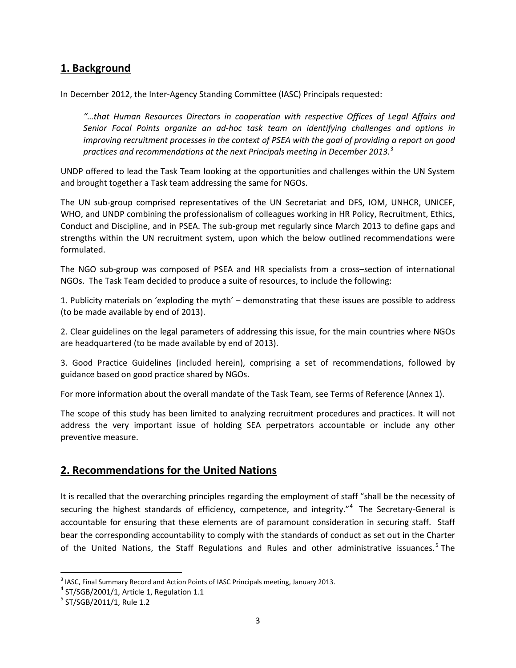## <span id="page-3-0"></span>**1. Background**

In December 2012, the Inter-Agency Standing Committee (IASC) Principals requested:

*"…that Human Resources Directors in cooperation with respective Offices of Legal Affairs and Senior Focal Points organize an ad-hoc task team on identifying challenges and options in improving recruitment processes in the context of PSEA with the goal of providing a report on good practices and recommendations at the next Principals meeting in December 2013.*[3](#page-3-2)

UNDP offered to lead the Task Team looking at the opportunities and challenges within the UN System and brought together a Task team addressing the same for NGOs.

The UN sub-group comprised representatives of the UN Secretariat and DFS, IOM, UNHCR, UNICEF, WHO, and UNDP combining the professionalism of colleagues working in HR Policy, Recruitment, Ethics, Conduct and Discipline, and in PSEA. The sub-group met regularly since March 2013 to define gaps and strengths within the UN recruitment system, upon which the below outlined recommendations were formulated.

The NGO sub-group was composed of PSEA and HR specialists from a cross–section of international NGOs. The Task Team decided to produce a suite of resources, to include the following:

1. Publicity materials on 'exploding the myth' – demonstrating that these issues are possible to address (to be made available by end of 2013).

2. Clear guidelines on the legal parameters of addressing this issue, for the main countries where NGOs are headquartered (to be made available by end of 2013).

3. Good Practice Guidelines (included herein), comprising a set of recommendations, followed by guidance based on good practice shared by NGOs.

For more information about the overall mandate of the Task Team, see Terms of Reference (Annex 1).

The scope of this study has been limited to analyzing recruitment procedures and practices. It will not address the very important issue of holding SEA perpetrators accountable or include any other preventive measure.

## <span id="page-3-1"></span>**2. Recommendations for the United Nations**

It is recalled that the overarching principles regarding the employment of staff "shall be the necessity of securing the highest standards of efficiency, competence, and integrity."<sup>[4](#page-3-3)</sup> The Secretary-General is accountable for ensuring that these elements are of paramount consideration in securing staff. Staff bear the corresponding accountability to comply with the standards of conduct as set out in the Charter of the United Nations, the Staff Regulations and Rules and other administrative issuances.<sup>[5](#page-3-4)</sup> The

<span id="page-3-2"></span><sup>&</sup>lt;sup>3</sup> IASC, Final Summary Record and Action Points of IASC Principals meeting, January 2013.

<span id="page-3-3"></span> $4$  ST/SGB/2001/1, Article 1, Regulation 1.1

<span id="page-3-4"></span> $5$  ST/SGB/2011/1, Rule 1.2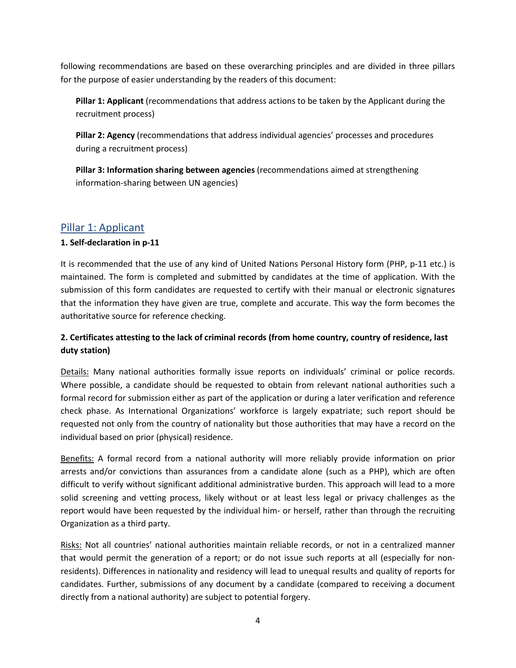following recommendations are based on these overarching principles and are divided in three pillars for the purpose of easier understanding by the readers of this document:

**Pillar 1: Applicant** (recommendations that address actions to be taken by the Applicant during the recruitment process)

**Pillar 2: Agency** (recommendations that address individual agencies' processes and procedures during a recruitment process)

**Pillar 3: Information sharing between agencies** (recommendations aimed at strengthening information-sharing between UN agencies)

## <span id="page-4-0"></span>Pillar 1: Applicant

#### **1. Self-declaration in p-11**

It is recommended that the use of any kind of United Nations Personal History form (PHP, p-11 etc.) is maintained. The form is completed and submitted by candidates at the time of application. With the submission of this form candidates are requested to certify with their manual or electronic signatures that the information they have given are true, complete and accurate. This way the form becomes the authoritative source for reference checking.

## **2. Certificates attesting to the lack of criminal records (from home country, country of residence, last duty station)**

Details: Many national authorities formally issue reports on individuals' criminal or police records. Where possible, a candidate should be requested to obtain from relevant national authorities such a formal record for submission either as part of the application or during a later verification and reference check phase. As International Organizations' workforce is largely expatriate; such report should be requested not only from the country of nationality but those authorities that may have a record on the individual based on prior (physical) residence.

Benefits: A formal record from a national authority will more reliably provide information on prior arrests and/or convictions than assurances from a candidate alone (such as a PHP), which are often difficult to verify without significant additional administrative burden. This approach will lead to a more solid screening and vetting process, likely without or at least less legal or privacy challenges as the report would have been requested by the individual him- or herself, rather than through the recruiting Organization as a third party.

Risks: Not all countries' national authorities maintain reliable records, or not in a centralized manner that would permit the generation of a report; or do not issue such reports at all (especially for nonresidents). Differences in nationality and residency will lead to unequal results and quality of reports for candidates. Further, submissions of any document by a candidate (compared to receiving a document directly from a national authority) are subject to potential forgery.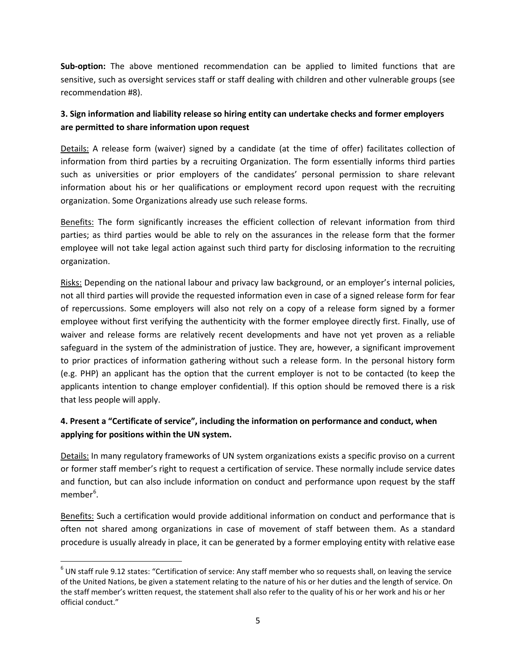**Sub-option:** The above mentioned recommendation can be applied to limited functions that are sensitive, such as oversight services staff or staff dealing with children and other vulnerable groups (see recommendation #8).

## **3. Sign information and liability release so hiring entity can undertake checks and former employers are permitted to share information upon request**

Details: A release form (waiver) signed by a candidate (at the time of offer) facilitates collection of information from third parties by a recruiting Organization. The form essentially informs third parties such as universities or prior employers of the candidates' personal permission to share relevant information about his or her qualifications or employment record upon request with the recruiting organization. Some Organizations already use such release forms.

Benefits: The form significantly increases the efficient collection of relevant information from third parties; as third parties would be able to rely on the assurances in the release form that the former employee will not take legal action against such third party for disclosing information to the recruiting organization.

Risks: Depending on the national labour and privacy law background, or an employer's internal policies, not all third parties will provide the requested information even in case of a signed release form for fear of repercussions. Some employers will also not rely on a copy of a release form signed by a former employee without first verifying the authenticity with the former employee directly first. Finally, use of waiver and release forms are relatively recent developments and have not yet proven as a reliable safeguard in the system of the administration of justice. They are, however, a significant improvement to prior practices of information gathering without such a release form. In the personal history form (e.g. PHP) an applicant has the option that the current employer is not to be contacted (to keep the applicants intention to change employer confidential). If this option should be removed there is a risk that less people will apply.

## **4. Present a "Certificate of service", including the information on performance and conduct, when applying for positions within the UN system.**

Details: In many regulatory frameworks of UN system organizations exists a specific proviso on a current or former staff member's right to request a certification of service. These normally include service dates and function, but can also include information on conduct and performance upon request by the staff member<sup>[6](#page-5-0)</sup>.

Benefits: Such a certification would provide additional information on conduct and performance that is often not shared among organizations in case of movement of staff between them. As a standard procedure is usually already in place, it can be generated by a former employing entity with relative ease

<span id="page-5-0"></span> $6$  UN staff rule 9.12 states: "Certification of service: Any staff member who so requests shall, on leaving the service of the United Nations, be given a statement relating to the nature of his or her duties and the length of service. On the staff member's written request, the statement shall also refer to the quality of his or her work and his or her official conduct."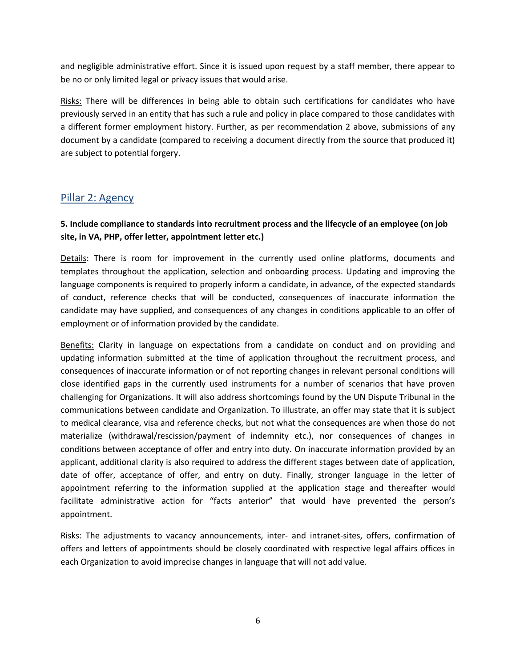and negligible administrative effort. Since it is issued upon request by a staff member, there appear to be no or only limited legal or privacy issues that would arise.

Risks: There will be differences in being able to obtain such certifications for candidates who have previously served in an entity that has such a rule and policy in place compared to those candidates with a different former employment history. Further, as per recommendation 2 above, submissions of any document by a candidate (compared to receiving a document directly from the source that produced it) are subject to potential forgery.

## <span id="page-6-0"></span>Pillar 2: Agency

#### **5. Include compliance to standards into recruitment process and the lifecycle of an employee (on job site, in VA, PHP, offer letter, appointment letter etc.)**

Details: There is room for improvement in the currently used online platforms, documents and templates throughout the application, selection and onboarding process. Updating and improving the language components is required to properly inform a candidate, in advance, of the expected standards of conduct, reference checks that will be conducted, consequences of inaccurate information the candidate may have supplied, and consequences of any changes in conditions applicable to an offer of employment or of information provided by the candidate.

Benefits: Clarity in language on expectations from a candidate on conduct and on providing and updating information submitted at the time of application throughout the recruitment process, and consequences of inaccurate information or of not reporting changes in relevant personal conditions will close identified gaps in the currently used instruments for a number of scenarios that have proven challenging for Organizations. It will also address shortcomings found by the UN Dispute Tribunal in the communications between candidate and Organization. To illustrate, an offer may state that it is subject to medical clearance, visa and reference checks, but not what the consequences are when those do not materialize (withdrawal/rescission/payment of indemnity etc.), nor consequences of changes in conditions between acceptance of offer and entry into duty. On inaccurate information provided by an applicant, additional clarity is also required to address the different stages between date of application, date of offer, acceptance of offer, and entry on duty. Finally, stronger language in the letter of appointment referring to the information supplied at the application stage and thereafter would facilitate administrative action for "facts anterior" that would have prevented the person's appointment.

Risks: The adjustments to vacancy announcements, inter- and intranet-sites, offers, confirmation of offers and letters of appointments should be closely coordinated with respective legal affairs offices in each Organization to avoid imprecise changes in language that will not add value.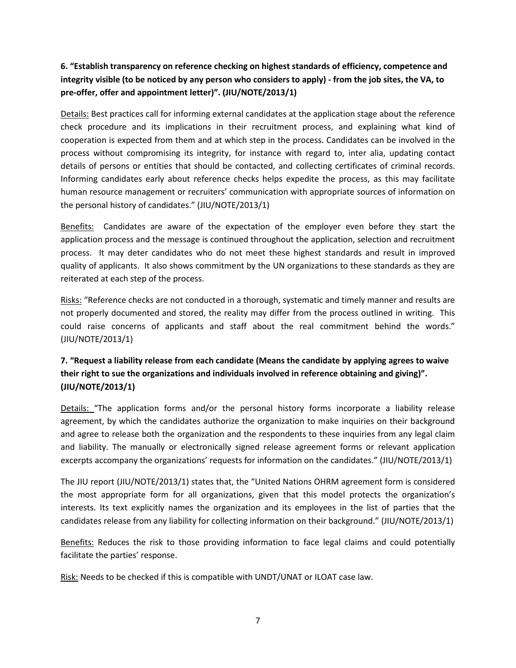## **6. "Establish transparency on reference checking on highest standards of efficiency, competence and integrity visible (to be noticed by any person who considers to apply) - from the job sites, the VA, to pre-offer, offer and appointment letter)". (JIU/NOTE/2013/1)**

Details: Best practices call for informing external candidates at the application stage about the reference check procedure and its implications in their recruitment process, and explaining what kind of cooperation is expected from them and at which step in the process. Candidates can be involved in the process without compromising its integrity, for instance with regard to, inter alia, updating contact details of persons or entities that should be contacted, and collecting certificates of criminal records. Informing candidates early about reference checks helps expedite the process, as this may facilitate human resource management or recruiters' communication with appropriate sources of information on the personal history of candidates." (JIU/NOTE/2013/1)

Benefits: Candidates are aware of the expectation of the employer even before they start the application process and the message is continued throughout the application, selection and recruitment process. It may deter candidates who do not meet these highest standards and result in improved quality of applicants. It also shows commitment by the UN organizations to these standards as they are reiterated at each step of the process.

Risks: "Reference checks are not conducted in a thorough, systematic and timely manner and results are not properly documented and stored, the reality may differ from the process outlined in writing. This could raise concerns of applicants and staff about the real commitment behind the words." (JIU/NOTE/2013/1)

## **7. "Request a liability release from each candidate (Means the candidate by applying agrees to waive their right to sue the organizations and individuals involved in reference obtaining and giving)". (JIU/NOTE/2013/1)**

Details: "The application forms and/or the personal history forms incorporate a liability release agreement, by which the candidates authorize the organization to make inquiries on their background and agree to release both the organization and the respondents to these inquiries from any legal claim and liability. The manually or electronically signed release agreement forms or relevant application excerpts accompany the organizations' requests for information on the candidates." (JIU/NOTE/2013/1)

The JIU report (JIU/NOTE/2013/1) states that, the "United Nations OHRM agreement form is considered the most appropriate form for all organizations, given that this model protects the organization's interests. Its text explicitly names the organization and its employees in the list of parties that the candidates release from any liability for collecting information on their background." (JIU/NOTE/2013/1)

Benefits: Reduces the risk to those providing information to face legal claims and could potentially facilitate the parties' response.

Risk: Needs to be checked if this is compatible with UNDT/UNAT or ILOAT case law.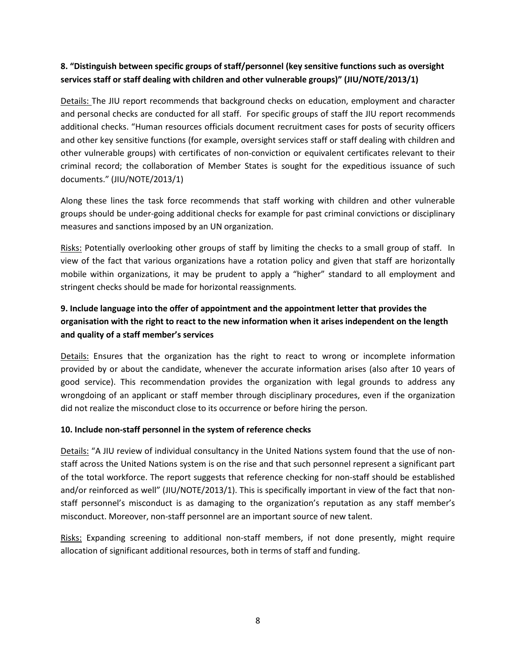## **8. "Distinguish between specific groups of staff/personnel (key sensitive functions such as oversight services staff or staff dealing with children and other vulnerable groups)" (JIU/NOTE/2013/1)**

Details: The JIU report recommends that background checks on education, employment and character and personal checks are conducted for all staff. For specific groups of staff the JIU report recommends additional checks. "Human resources officials document recruitment cases for posts of security officers and other key sensitive functions (for example, oversight services staff or staff dealing with children and other vulnerable groups) with certificates of non-conviction or equivalent certificates relevant to their criminal record; the collaboration of Member States is sought for the expeditious issuance of such documents." (JIU/NOTE/2013/1)

Along these lines the task force recommends that staff working with children and other vulnerable groups should be under-going additional checks for example for past criminal convictions or disciplinary measures and sanctions imposed by an UN organization.

Risks: Potentially overlooking other groups of staff by limiting the checks to a small group of staff. In view of the fact that various organizations have a rotation policy and given that staff are horizontally mobile within organizations, it may be prudent to apply a "higher" standard to all employment and stringent checks should be made for horizontal reassignments*.*

## **9. Include language into the offer of appointment and the appointment letter that provides the organisation with the right to react to the new information when it arises independent on the length and quality of a staff member's services**

Details: Ensures that the organization has the right to react to wrong or incomplete information provided by or about the candidate, whenever the accurate information arises (also after 10 years of good service). This recommendation provides the organization with legal grounds to address any wrongdoing of an applicant or staff member through disciplinary procedures, even if the organization did not realize the misconduct close to its occurrence or before hiring the person.

#### **10. Include non-staff personnel in the system of reference checks**

Details: "A JIU review of individual consultancy in the United Nations system found that the use of nonstaff across the United Nations system is on the rise and that such personnel represent a significant part of the total workforce. The report suggests that reference checking for non-staff should be established and/or reinforced as well" (JIU/NOTE/2013/1). This is specifically important in view of the fact that nonstaff personnel's misconduct is as damaging to the organization's reputation as any staff member's misconduct. Moreover, non-staff personnel are an important source of new talent.

Risks: Expanding screening to additional non-staff members, if not done presently, might require allocation of significant additional resources, both in terms of staff and funding.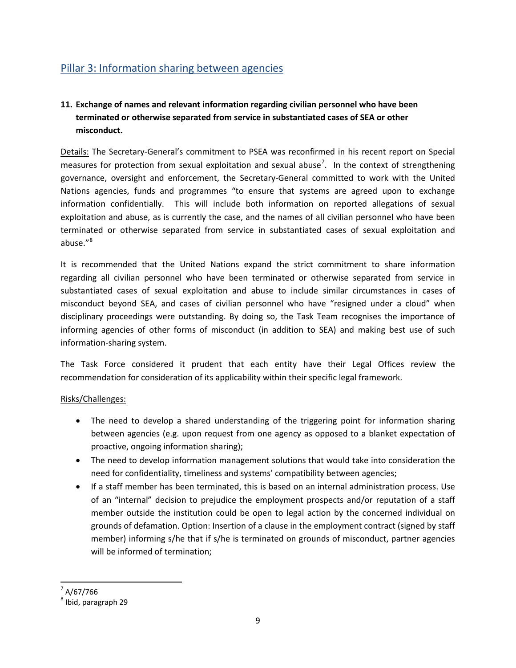## <span id="page-9-0"></span>Pillar 3: Information sharing between agencies

## **11. Exchange of names and relevant information regarding civilian personnel who have been terminated or otherwise separated from service in substantiated cases of SEA or other misconduct.**

Details: The Secretary-General's commitment to PSEA was reconfirmed in his recent report on Special measures for protection from sexual exploitation and sexual abuse<sup>[7](#page-9-1)</sup>. In the context of strengthening governance, oversight and enforcement, the Secretary-General committed to work with the United Nations agencies, funds and programmes "to ensure that systems are agreed upon to exchange information confidentially. This will include both information on reported allegations of sexual exploitation and abuse, as is currently the case, and the names of all civilian personnel who have been terminated or otherwise separated from service in substantiated cases of sexual exploitation and abuse."[8](#page-9-2)

It is recommended that the United Nations expand the strict commitment to share information regarding all civilian personnel who have been terminated or otherwise separated from service in substantiated cases of sexual exploitation and abuse to include similar circumstances in cases of misconduct beyond SEA, and cases of civilian personnel who have "resigned under a cloud" when disciplinary proceedings were outstanding. By doing so, the Task Team recognises the importance of informing agencies of other forms of misconduct (in addition to SEA) and making best use of such information-sharing system.

The Task Force considered it prudent that each entity have their Legal Offices review the recommendation for consideration of its applicability within their specific legal framework.

#### Risks/Challenges:

- The need to develop a shared understanding of the triggering point for information sharing between agencies (e.g. upon request from one agency as opposed to a blanket expectation of proactive, ongoing information sharing);
- The need to develop information management solutions that would take into consideration the need for confidentiality, timeliness and systems' compatibility between agencies;
- If a staff member has been terminated, this is based on an internal administration process. Use of an "internal" decision to prejudice the employment prospects and/or reputation of a staff member outside the institution could be open to legal action by the concerned individual on grounds of defamation. Option: Insertion of a clause in the employment contract (signed by staff member) informing s/he that if s/he is terminated on grounds of misconduct, partner agencies will be informed of termination;

<span id="page-9-1"></span> $7$  A/67/766

<span id="page-9-2"></span> $<sup>8</sup>$  Ibid, paragraph 29</sup>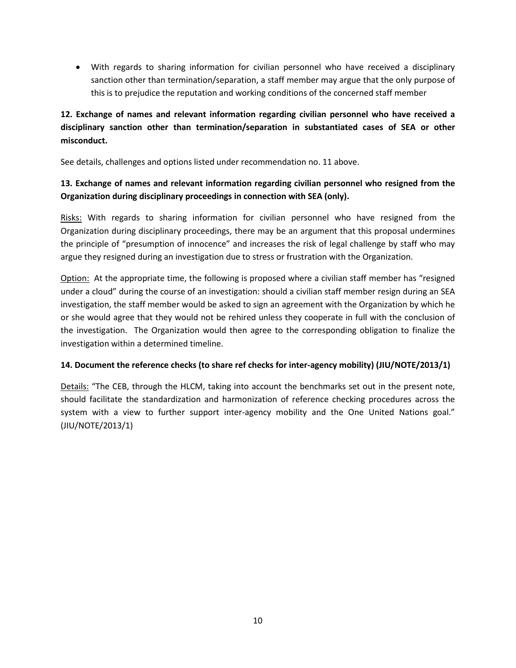• With regards to sharing information for civilian personnel who have received a disciplinary sanction other than termination/separation, a staff member may argue that the only purpose of this is to prejudice the reputation and working conditions of the concerned staff member

## **12. Exchange of names and relevant information regarding civilian personnel who have received a disciplinary sanction other than termination/separation in substantiated cases of SEA or other misconduct.**

See details, challenges and options listed under recommendation no. 11 above.

### **13. Exchange of names and relevant information regarding civilian personnel who resigned from the Organization during disciplinary proceedings in connection with SEA (only).**

Risks: With regards to sharing information for civilian personnel who have resigned from the Organization during disciplinary proceedings, there may be an argument that this proposal undermines the principle of "presumption of innocence" and increases the risk of legal challenge by staff who may argue they resigned during an investigation due to stress or frustration with the Organization.

Option: At the appropriate time, the following is proposed where a civilian staff member has "resigned under a cloud" during the course of an investigation: should a civilian staff member resign during an SEA investigation, the staff member would be asked to sign an agreement with the Organization by which he or she would agree that they would not be rehired unless they cooperate in full with the conclusion of the investigation. The Organization would then agree to the corresponding obligation to finalize the investigation within a determined timeline.

#### **14. Document the reference checks (to share ref checks for inter-agency mobility) (JIU/NOTE/2013/1)**

Details: "The CEB, through the HLCM, taking into account the benchmarks set out in the present note, should facilitate the standardization and harmonization of reference checking procedures across the system with a view to further support inter-agency mobility and the One United Nations goal." (JIU/NOTE/2013/1)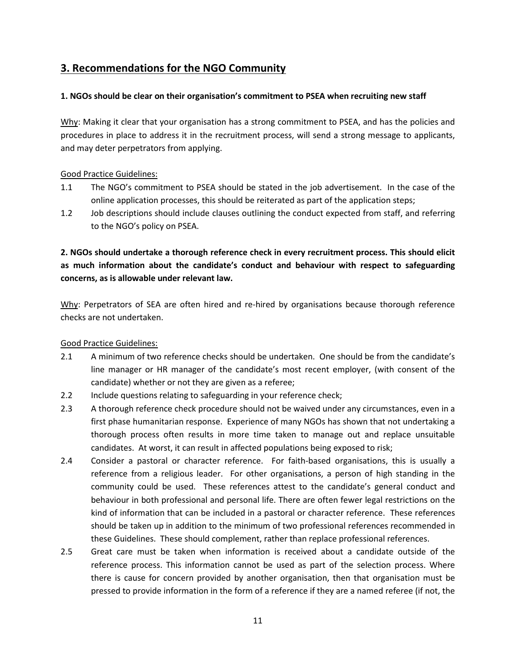## <span id="page-11-0"></span>**3. Recommendations for the NGO Community**

#### **1. NGOs should be clear on their organisation's commitment to PSEA when recruiting new staff**

Why: Making it clear that your organisation has a strong commitment to PSEA, and has the policies and procedures in place to address it in the recruitment process, will send a strong message to applicants, and may deter perpetrators from applying.

#### Good Practice Guidelines:

- 1.1 The NGO's commitment to PSEA should be stated in the job advertisement. In the case of the online application processes, this should be reiterated as part of the application steps;
- 1.2 Job descriptions should include clauses outlining the conduct expected from staff, and referring to the NGO's policy on PSEA.

## **2. NGOs should undertake a thorough reference check in every recruitment process. This should elicit as much information about the candidate's conduct and behaviour with respect to safeguarding concerns, as is allowable under relevant law.**

Why: Perpetrators of SEA are often hired and re-hired by organisations because thorough reference checks are not undertaken.

- 2.1 A minimum of two reference checks should be undertaken. One should be from the candidate's line manager or HR manager of the candidate's most recent employer, (with consent of the candidate) whether or not they are given as a referee;
- 2.2 Include questions relating to safeguarding in your reference check;
- 2.3 A thorough reference check procedure should not be waived under any circumstances, even in a first phase humanitarian response. Experience of many NGOs has shown that not undertaking a thorough process often results in more time taken to manage out and replace unsuitable candidates. At worst, it can result in affected populations being exposed to risk;
- 2.4 Consider a pastoral or character reference. For faith-based organisations, this is usually a reference from a religious leader. For other organisations, a person of high standing in the community could be used. These references attest to the candidate's general conduct and behaviour in both professional and personal life. There are often fewer legal restrictions on the kind of information that can be included in a pastoral or character reference. These references should be taken up in addition to the minimum of two professional references recommended in these Guidelines. These should complement, rather than replace professional references.
- 2.5 Great care must be taken when information is received about a candidate outside of the reference process. This information cannot be used as part of the selection process. Where there is cause for concern provided by another organisation, then that organisation must be pressed to provide information in the form of a reference if they are a named referee (if not, the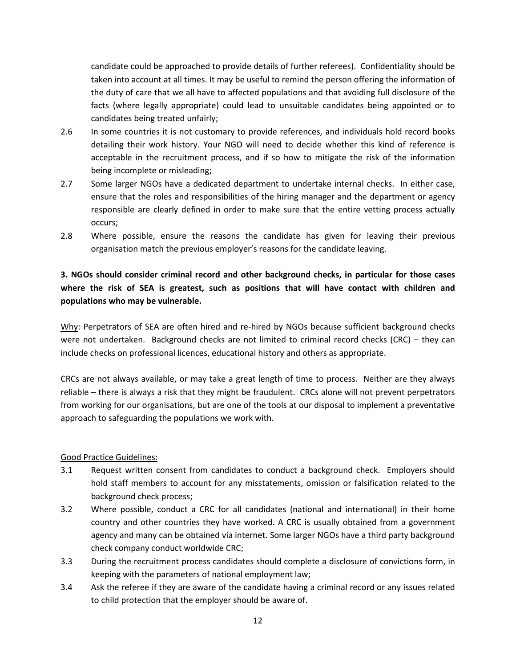candidate could be approached to provide details of further referees). Confidentiality should be taken into account at all times. It may be useful to remind the person offering the information of the duty of care that we all have to affected populations and that avoiding full disclosure of the facts (where legally appropriate) could lead to unsuitable candidates being appointed or to candidates being treated unfairly;

- 2.6 In some countries it is not customary to provide references, and individuals hold record books detailing their work history. Your NGO will need to decide whether this kind of reference is acceptable in the recruitment process, and if so how to mitigate the risk of the information being incomplete or misleading;
- 2.7 Some larger NGOs have a dedicated department to undertake internal checks. In either case, ensure that the roles and responsibilities of the hiring manager and the department or agency responsible are clearly defined in order to make sure that the entire vetting process actually occurs;
- 2.8 Where possible, ensure the reasons the candidate has given for leaving their previous organisation match the previous employer's reasons for the candidate leaving.

## **3. NGOs should consider criminal record and other background checks, in particular for those cases where the risk of SEA is greatest, such as positions that will have contact with children and populations who may be vulnerable.**

Why: Perpetrators of SEA are often hired and re-hired by NGOs because sufficient background checks were not undertaken. Background checks are not limited to criminal record checks (CRC) – they can include checks on professional licences, educational history and others as appropriate.

CRCs are not always available, or may take a great length of time to process. Neither are they always reliable – there is always a risk that they might be fraudulent. CRCs alone will not prevent perpetrators from working for our organisations, but are one of the tools at our disposal to implement a preventative approach to safeguarding the populations we work with.

- 3.1 Request written consent from candidates to conduct a background check. Employers should hold staff members to account for any misstatements, omission or falsification related to the background check process;
- 3.2 Where possible, conduct a CRC for all candidates (national and international) in their home country and other countries they have worked. A CRC is usually obtained from a government agency and many can be obtained via internet. Some larger NGOs have a third party background check company conduct worldwide CRC;
- 3.3 During the recruitment process candidates should complete a disclosure of convictions form, in keeping with the parameters of national employment law;
- 3.4 Ask the referee if they are aware of the candidate having a criminal record or any issues related to child protection that the employer should be aware of.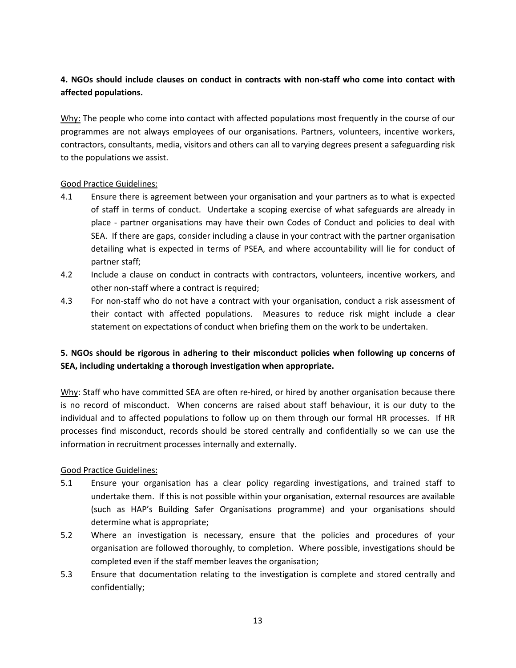## **4. NGOs should include clauses on conduct in contracts with non-staff who come into contact with affected populations.**

Why: The people who come into contact with affected populations most frequently in the course of our programmes are not always employees of our organisations. Partners, volunteers, incentive workers, contractors, consultants, media, visitors and others can all to varying degrees present a safeguarding risk to the populations we assist.

#### Good Practice Guidelines:

- 4.1 Ensure there is agreement between your organisation and your partners as to what is expected of staff in terms of conduct. Undertake a scoping exercise of what safeguards are already in place - partner organisations may have their own Codes of Conduct and policies to deal with SEA. If there are gaps, consider including a clause in your contract with the partner organisation detailing what is expected in terms of PSEA, and where accountability will lie for conduct of partner staff;
- 4.2 Include a clause on conduct in contracts with contractors, volunteers, incentive workers, and other non-staff where a contract is required;
- 4.3 For non-staff who do not have a contract with your organisation, conduct a risk assessment of their contact with affected populations. Measures to reduce risk might include a clear statement on expectations of conduct when briefing them on the work to be undertaken.

## **5. NGOs should be rigorous in adhering to their misconduct policies when following up concerns of SEA, including undertaking a thorough investigation when appropriate.**

Why: Staff who have committed SEA are often re-hired, or hired by another organisation because there is no record of misconduct. When concerns are raised about staff behaviour, it is our duty to the individual and to affected populations to follow up on them through our formal HR processes. If HR processes find misconduct, records should be stored centrally and confidentially so we can use the information in recruitment processes internally and externally.

- 5.1 Ensure your organisation has a clear policy regarding investigations, and trained staff to undertake them. If this is not possible within your organisation, external resources are available (such as HAP's Building Safer Organisations programme) and your organisations should determine what is appropriate;
- 5.2 Where an investigation is necessary, ensure that the policies and procedures of your organisation are followed thoroughly, to completion. Where possible, investigations should be completed even if the staff member leaves the organisation;
- 5.3 Ensure that documentation relating to the investigation is complete and stored centrally and confidentially;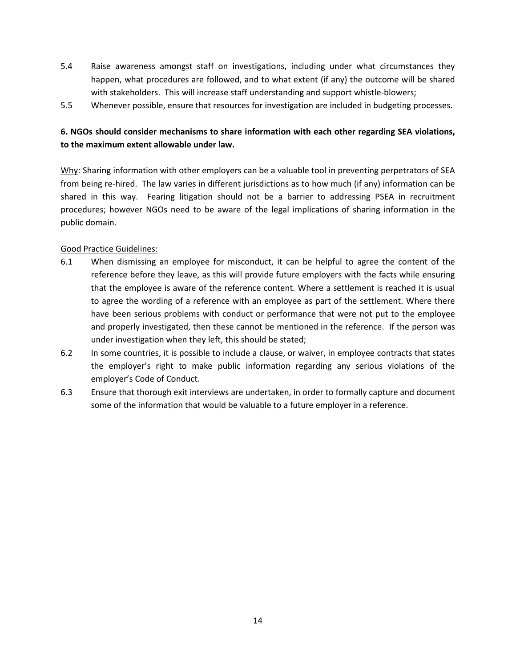- 5.4 Raise awareness amongst staff on investigations, including under what circumstances they happen, what procedures are followed, and to what extent (if any) the outcome will be shared with stakeholders. This will increase staff understanding and support whistle-blowers;
- 5.5 Whenever possible, ensure that resources for investigation are included in budgeting processes.

## **6. NGOs should consider mechanisms to share information with each other regarding SEA violations, to the maximum extent allowable under law.**

Why: Sharing information with other employers can be a valuable tool in preventing perpetrators of SEA from being re-hired. The law varies in different jurisdictions as to how much (if any) information can be shared in this way. Fearing litigation should not be a barrier to addressing PSEA in recruitment procedures; however NGOs need to be aware of the legal implications of sharing information in the public domain.

- 6.1 When dismissing an employee for misconduct, it can be helpful to agree the content of the reference before they leave, as this will provide future employers with the facts while ensuring that the employee is aware of the reference content. Where a settlement is reached it is usual to agree the wording of a reference with an employee as part of the settlement. Where there have been serious problems with conduct or performance that were not put to the employee and properly investigated, then these cannot be mentioned in the reference. If the person was under investigation when they left, this should be stated;
- 6.2 In some countries, it is possible to include a clause, or waiver, in employee contracts that states the employer's right to make public information regarding any serious violations of the employer's Code of Conduct.
- 6.3 Ensure that thorough exit interviews are undertaken, in order to formally capture and document some of the information that would be valuable to a future employer in a reference.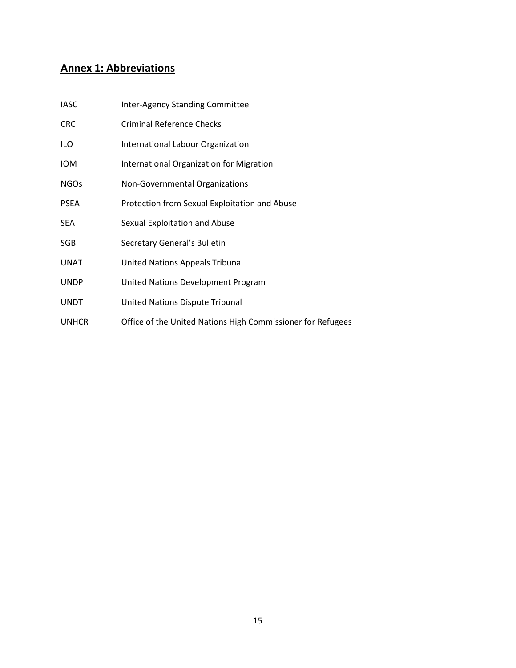# <span id="page-15-0"></span>**Annex 1: Abbreviations**

| <b>IASC</b>  | <b>Inter-Agency Standing Committee</b>                      |
|--------------|-------------------------------------------------------------|
| <b>CRC</b>   | <b>Criminal Reference Checks</b>                            |
| ILO          | International Labour Organization                           |
| <b>IOM</b>   | International Organization for Migration                    |
| <b>NGOs</b>  | Non-Governmental Organizations                              |
| <b>PSEA</b>  | Protection from Sexual Exploitation and Abuse               |
| SEA          | Sexual Exploitation and Abuse                               |
| SGB          | Secretary General's Bulletin                                |
| UNAT         | <b>United Nations Appeals Tribunal</b>                      |
| <b>UNDP</b>  | United Nations Development Program                          |
| <b>UNDT</b>  | United Nations Dispute Tribunal                             |
| <b>UNHCR</b> | Office of the United Nations High Commissioner for Refugees |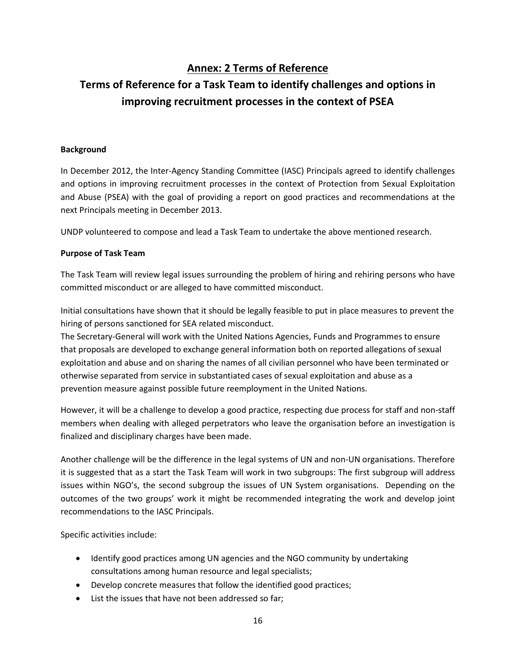## **Annex: 2 Terms of Reference**

# <span id="page-16-0"></span>**Terms of Reference for a Task Team to identify challenges and options in improving recruitment processes in the context of PSEA**

#### **Background**

In December 2012, the Inter-Agency Standing Committee (IASC) Principals agreed to identify challenges and options in improving recruitment processes in the context of Protection from Sexual Exploitation and Abuse (PSEA) with the goal of providing a report on good practices and recommendations at the next Principals meeting in December 2013.

UNDP volunteered to compose and lead a Task Team to undertake the above mentioned research.

#### **Purpose of Task Team**

The Task Team will review legal issues surrounding the problem of hiring and rehiring persons who have committed misconduct or are alleged to have committed misconduct.

Initial consultations have shown that it should be legally feasible to put in place measures to prevent the hiring of persons sanctioned for SEA related misconduct.

The Secretary-General will work with the United Nations Agencies, Funds and Programmes to ensure that proposals are developed to exchange general information both on reported allegations of sexual exploitation and abuse and on sharing the names of all civilian personnel who have been terminated or otherwise separated from service in substantiated cases of sexual exploitation and abuse as a prevention measure against possible future reemployment in the United Nations.

However, it will be a challenge to develop a good practice, respecting due process for staff and non-staff members when dealing with alleged perpetrators who leave the organisation before an investigation is finalized and disciplinary charges have been made.

Another challenge will be the difference in the legal systems of UN and non-UN organisations. Therefore it is suggested that as a start the Task Team will work in two subgroups: The first subgroup will address issues within NGO's, the second subgroup the issues of UN System organisations. Depending on the outcomes of the two groups' work it might be recommended integrating the work and develop joint recommendations to the IASC Principals.

Specific activities include:

- Identify good practices among UN agencies and the NGO community by undertaking consultations among human resource and legal specialists;
- Develop concrete measures that follow the identified good practices;
- List the issues that have not been addressed so far;